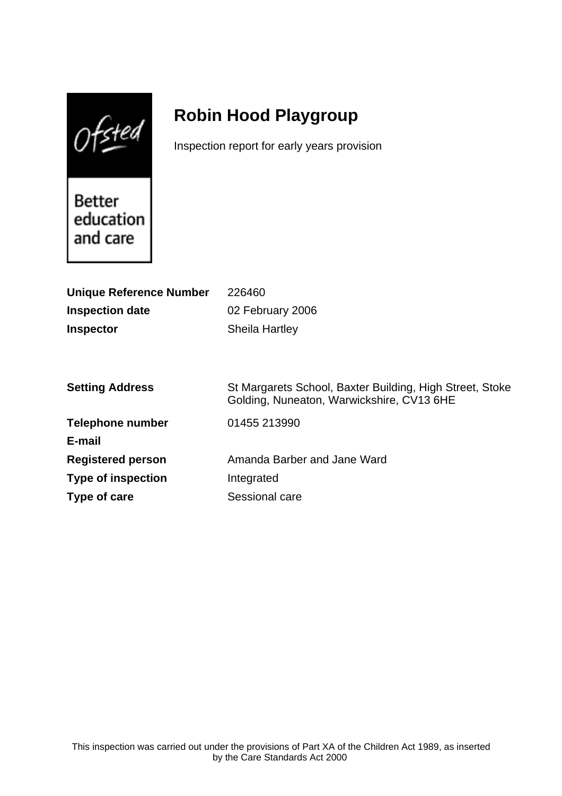$0$ fsted

# **Robin Hood Playgroup**

Inspection report for early years provision

Better education and care

| <b>Unique Reference Number</b> | 226460                                                                                                |
|--------------------------------|-------------------------------------------------------------------------------------------------------|
| <b>Inspection date</b>         | 02 February 2006                                                                                      |
| <b>Inspector</b>               | <b>Sheila Hartley</b>                                                                                 |
|                                |                                                                                                       |
|                                |                                                                                                       |
| <b>Setting Address</b>         | St Margarets School, Baxter Building, High Street, Stoke<br>Golding, Nuneaton, Warwickshire, CV13 6HE |
| <b>Telephone number</b>        | 01455 213990                                                                                          |
| E-mail                         |                                                                                                       |
| <b>Registered person</b>       | Amanda Barber and Jane Ward                                                                           |
| <b>Type of inspection</b>      | Integrated                                                                                            |
| Type of care                   | Sessional care                                                                                        |
|                                |                                                                                                       |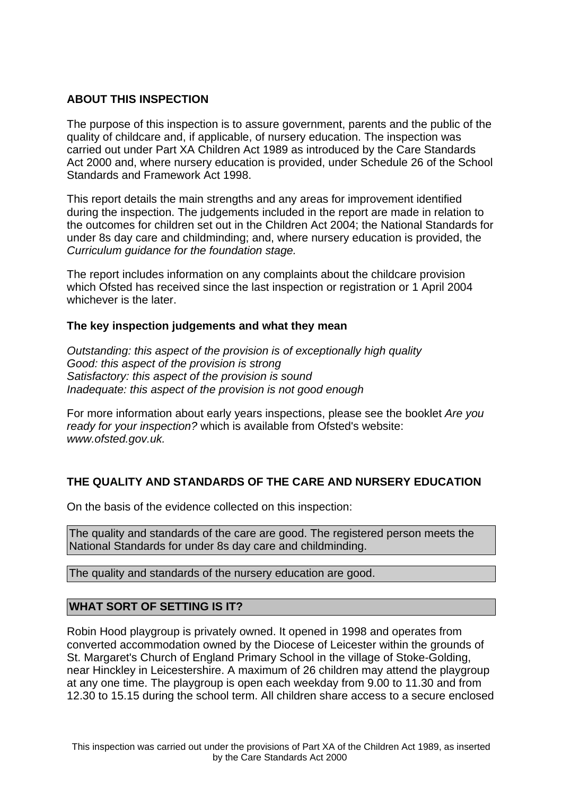# **ABOUT THIS INSPECTION**

The purpose of this inspection is to assure government, parents and the public of the quality of childcare and, if applicable, of nursery education. The inspection was carried out under Part XA Children Act 1989 as introduced by the Care Standards Act 2000 and, where nursery education is provided, under Schedule 26 of the School Standards and Framework Act 1998.

This report details the main strengths and any areas for improvement identified during the inspection. The judgements included in the report are made in relation to the outcomes for children set out in the Children Act 2004; the National Standards for under 8s day care and childminding; and, where nursery education is provided, the Curriculum guidance for the foundation stage.

The report includes information on any complaints about the childcare provision which Ofsted has received since the last inspection or registration or 1 April 2004 whichever is the later.

## **The key inspection judgements and what they mean**

Outstanding: this aspect of the provision is of exceptionally high quality Good: this aspect of the provision is strong Satisfactory: this aspect of the provision is sound Inadequate: this aspect of the provision is not good enough

For more information about early years inspections, please see the booklet Are you ready for your inspection? which is available from Ofsted's website: www.ofsted.gov.uk.

## **THE QUALITY AND STANDARDS OF THE CARE AND NURSERY EDUCATION**

On the basis of the evidence collected on this inspection:

The quality and standards of the care are good. The registered person meets the National Standards for under 8s day care and childminding.

The quality and standards of the nursery education are good.

## **WHAT SORT OF SETTING IS IT?**

Robin Hood playgroup is privately owned. It opened in 1998 and operates from converted accommodation owned by the Diocese of Leicester within the grounds of St. Margaret's Church of England Primary School in the village of Stoke-Golding, near Hinckley in Leicestershire. A maximum of 26 children may attend the playgroup at any one time. The playgroup is open each weekday from 9.00 to 11.30 and from 12.30 to 15.15 during the school term. All children share access to a secure enclosed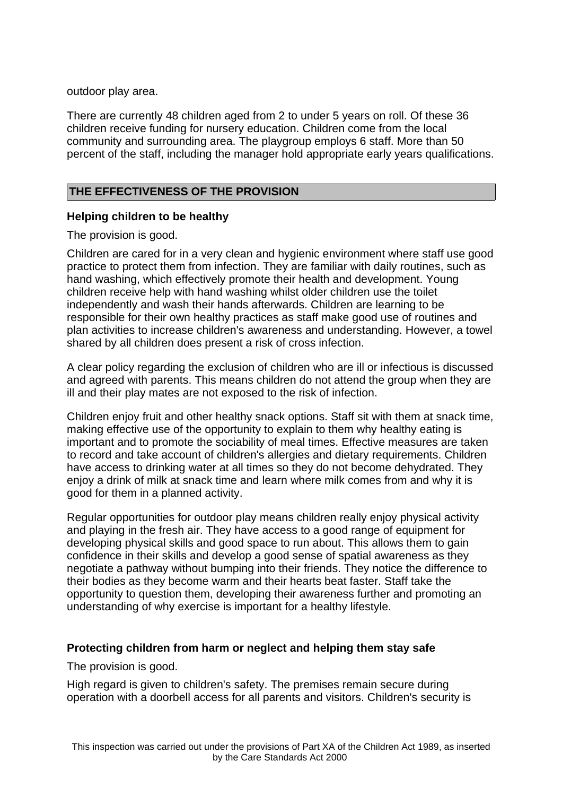outdoor play area.

There are currently 48 children aged from 2 to under 5 years on roll. Of these 36 children receive funding for nursery education. Children come from the local community and surrounding area. The playgroup employs 6 staff. More than 50 percent of the staff, including the manager hold appropriate early years qualifications.

# **THE EFFECTIVENESS OF THE PROVISION**

# **Helping children to be healthy**

The provision is good.

Children are cared for in a very clean and hygienic environment where staff use good practice to protect them from infection. They are familiar with daily routines, such as hand washing, which effectively promote their health and development. Young children receive help with hand washing whilst older children use the toilet independently and wash their hands afterwards. Children are learning to be responsible for their own healthy practices as staff make good use of routines and plan activities to increase children's awareness and understanding. However, a towel shared by all children does present a risk of cross infection.

A clear policy regarding the exclusion of children who are ill or infectious is discussed and agreed with parents. This means children do not attend the group when they are ill and their play mates are not exposed to the risk of infection.

Children enjoy fruit and other healthy snack options. Staff sit with them at snack time, making effective use of the opportunity to explain to them why healthy eating is important and to promote the sociability of meal times. Effective measures are taken to record and take account of children's allergies and dietary requirements. Children have access to drinking water at all times so they do not become dehydrated. They enjoy a drink of milk at snack time and learn where milk comes from and why it is good for them in a planned activity.

Regular opportunities for outdoor play means children really enjoy physical activity and playing in the fresh air. They have access to a good range of equipment for developing physical skills and good space to run about. This allows them to gain confidence in their skills and develop a good sense of spatial awareness as they negotiate a pathway without bumping into their friends. They notice the difference to their bodies as they become warm and their hearts beat faster. Staff take the opportunity to question them, developing their awareness further and promoting an understanding of why exercise is important for a healthy lifestyle.

## **Protecting children from harm or neglect and helping them stay safe**

The provision is good.

High regard is given to children's safety. The premises remain secure during operation with a doorbell access for all parents and visitors. Children's security is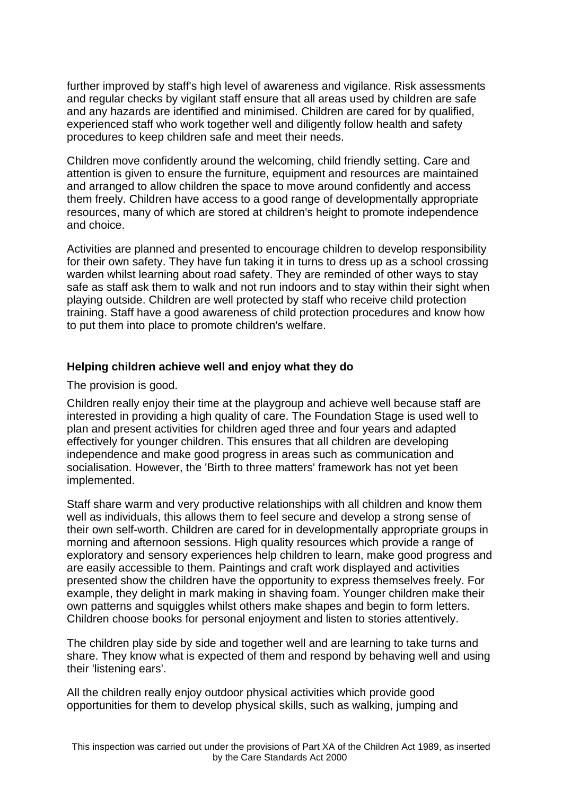further improved by staff's high level of awareness and vigilance. Risk assessments and regular checks by vigilant staff ensure that all areas used by children are safe and any hazards are identified and minimised. Children are cared for by qualified, experienced staff who work together well and diligently follow health and safety procedures to keep children safe and meet their needs.

Children move confidently around the welcoming, child friendly setting. Care and attention is given to ensure the furniture, equipment and resources are maintained and arranged to allow children the space to move around confidently and access them freely. Children have access to a good range of developmentally appropriate resources, many of which are stored at children's height to promote independence and choice.

Activities are planned and presented to encourage children to develop responsibility for their own safety. They have fun taking it in turns to dress up as a school crossing warden whilst learning about road safety. They are reminded of other ways to stay safe as staff ask them to walk and not run indoors and to stay within their sight when playing outside. Children are well protected by staff who receive child protection training. Staff have a good awareness of child protection procedures and know how to put them into place to promote children's welfare.

## **Helping children achieve well and enjoy what they do**

The provision is good.

Children really enjoy their time at the playgroup and achieve well because staff are interested in providing a high quality of care. The Foundation Stage is used well to plan and present activities for children aged three and four years and adapted effectively for younger children. This ensures that all children are developing independence and make good progress in areas such as communication and socialisation. However, the 'Birth to three matters' framework has not yet been implemented.

Staff share warm and very productive relationships with all children and know them well as individuals, this allows them to feel secure and develop a strong sense of their own self-worth. Children are cared for in developmentally appropriate groups in morning and afternoon sessions. High quality resources which provide a range of exploratory and sensory experiences help children to learn, make good progress and are easily accessible to them. Paintings and craft work displayed and activities presented show the children have the opportunity to express themselves freely. For example, they delight in mark making in shaving foam. Younger children make their own patterns and squiggles whilst others make shapes and begin to form letters. Children choose books for personal enjoyment and listen to stories attentively.

The children play side by side and together well and are learning to take turns and share. They know what is expected of them and respond by behaving well and using their 'listening ears'.

All the children really enjoy outdoor physical activities which provide good opportunities for them to develop physical skills, such as walking, jumping and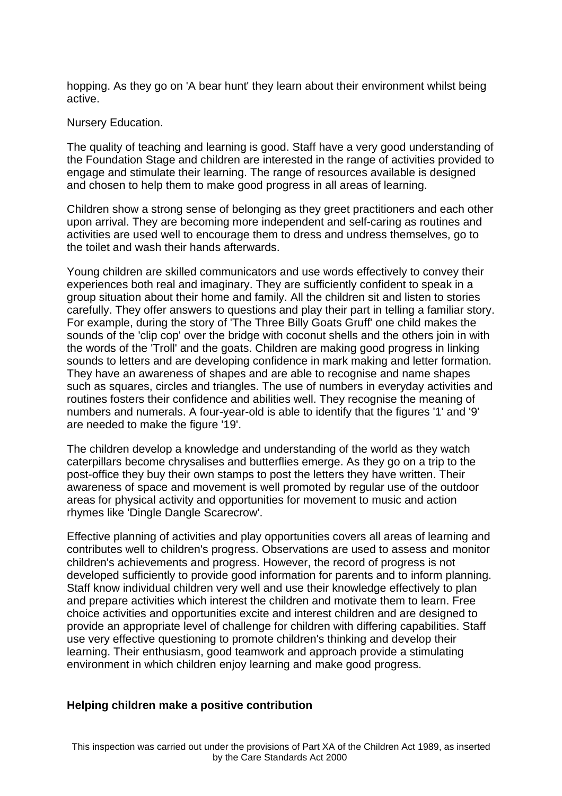hopping. As they go on 'A bear hunt' they learn about their environment whilst being active.

#### Nursery Education.

The quality of teaching and learning is good. Staff have a very good understanding of the Foundation Stage and children are interested in the range of activities provided to engage and stimulate their learning. The range of resources available is designed and chosen to help them to make good progress in all areas of learning.

Children show a strong sense of belonging as they greet practitioners and each other upon arrival. They are becoming more independent and self-caring as routines and activities are used well to encourage them to dress and undress themselves, go to the toilet and wash their hands afterwards.

Young children are skilled communicators and use words effectively to convey their experiences both real and imaginary. They are sufficiently confident to speak in a group situation about their home and family. All the children sit and listen to stories carefully. They offer answers to questions and play their part in telling a familiar story. For example, during the story of 'The Three Billy Goats Gruff' one child makes the sounds of the 'clip cop' over the bridge with coconut shells and the others join in with the words of the 'Troll' and the goats. Children are making good progress in linking sounds to letters and are developing confidence in mark making and letter formation. They have an awareness of shapes and are able to recognise and name shapes such as squares, circles and triangles. The use of numbers in everyday activities and routines fosters their confidence and abilities well. They recognise the meaning of numbers and numerals. A four-year-old is able to identify that the figures '1' and '9' are needed to make the figure '19'.

The children develop a knowledge and understanding of the world as they watch caterpillars become chrysalises and butterflies emerge. As they go on a trip to the post-office they buy their own stamps to post the letters they have written. Their awareness of space and movement is well promoted by regular use of the outdoor areas for physical activity and opportunities for movement to music and action rhymes like 'Dingle Dangle Scarecrow'.

Effective planning of activities and play opportunities covers all areas of learning and contributes well to children's progress. Observations are used to assess and monitor children's achievements and progress. However, the record of progress is not developed sufficiently to provide good information for parents and to inform planning. Staff know individual children very well and use their knowledge effectively to plan and prepare activities which interest the children and motivate them to learn. Free choice activities and opportunities excite and interest children and are designed to provide an appropriate level of challenge for children with differing capabilities. Staff use very effective questioning to promote children's thinking and develop their learning. Their enthusiasm, good teamwork and approach provide a stimulating environment in which children enjoy learning and make good progress.

#### **Helping children make a positive contribution**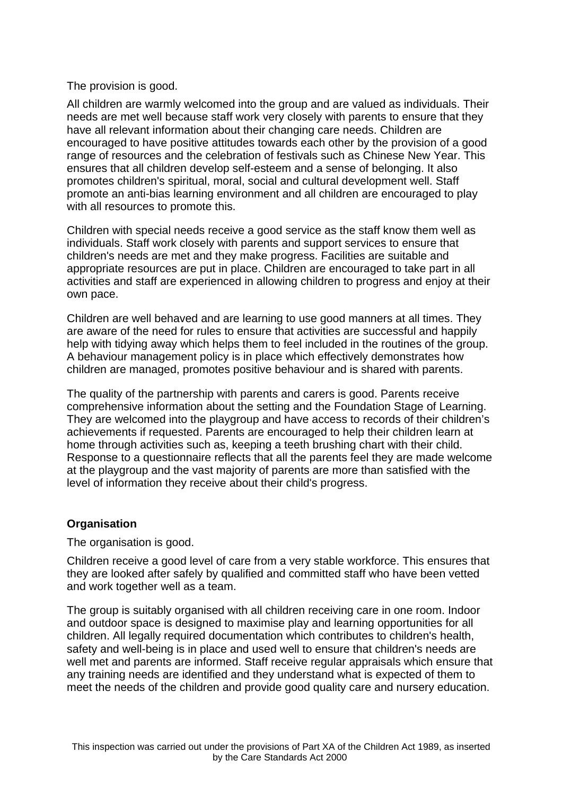# The provision is good.

All children are warmly welcomed into the group and are valued as individuals. Their needs are met well because staff work very closely with parents to ensure that they have all relevant information about their changing care needs. Children are encouraged to have positive attitudes towards each other by the provision of a good range of resources and the celebration of festivals such as Chinese New Year. This ensures that all children develop self-esteem and a sense of belonging. It also promotes children's spiritual, moral, social and cultural development well. Staff promote an anti-bias learning environment and all children are encouraged to play with all resources to promote this.

Children with special needs receive a good service as the staff know them well as individuals. Staff work closely with parents and support services to ensure that children's needs are met and they make progress. Facilities are suitable and appropriate resources are put in place. Children are encouraged to take part in all activities and staff are experienced in allowing children to progress and enjoy at their own pace.

Children are well behaved and are learning to use good manners at all times. They are aware of the need for rules to ensure that activities are successful and happily help with tidying away which helps them to feel included in the routines of the group. A behaviour management policy is in place which effectively demonstrates how children are managed, promotes positive behaviour and is shared with parents.

The quality of the partnership with parents and carers is good. Parents receive comprehensive information about the setting and the Foundation Stage of Learning. They are welcomed into the playgroup and have access to records of their children's achievements if requested. Parents are encouraged to help their children learn at home through activities such as, keeping a teeth brushing chart with their child. Response to a questionnaire reflects that all the parents feel they are made welcome at the playgroup and the vast majority of parents are more than satisfied with the level of information they receive about their child's progress.

# **Organisation**

The organisation is good.

Children receive a good level of care from a very stable workforce. This ensures that they are looked after safely by qualified and committed staff who have been vetted and work together well as a team.

The group is suitably organised with all children receiving care in one room. Indoor and outdoor space is designed to maximise play and learning opportunities for all children. All legally required documentation which contributes to children's health, safety and well-being is in place and used well to ensure that children's needs are well met and parents are informed. Staff receive regular appraisals which ensure that any training needs are identified and they understand what is expected of them to meet the needs of the children and provide good quality care and nursery education.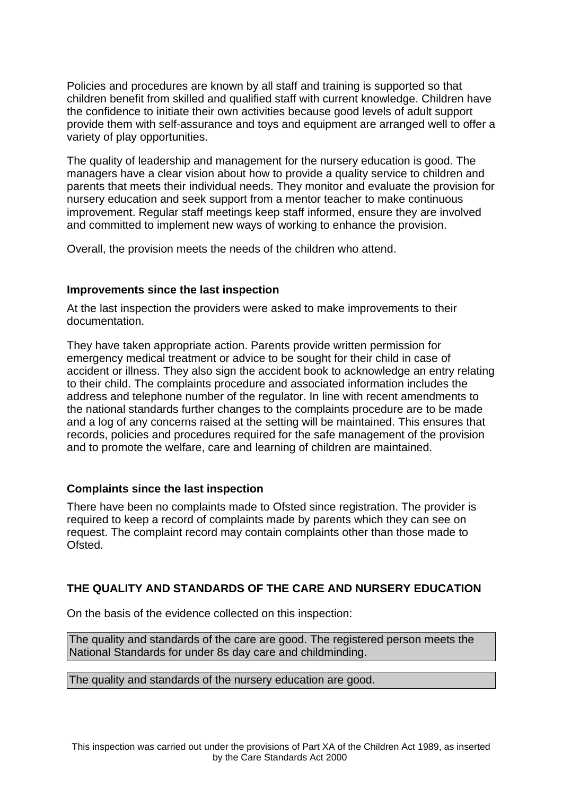Policies and procedures are known by all staff and training is supported so that children benefit from skilled and qualified staff with current knowledge. Children have the confidence to initiate their own activities because good levels of adult support provide them with self-assurance and toys and equipment are arranged well to offer a variety of play opportunities.

The quality of leadership and management for the nursery education is good. The managers have a clear vision about how to provide a quality service to children and parents that meets their individual needs. They monitor and evaluate the provision for nursery education and seek support from a mentor teacher to make continuous improvement. Regular staff meetings keep staff informed, ensure they are involved and committed to implement new ways of working to enhance the provision.

Overall, the provision meets the needs of the children who attend.

#### **Improvements since the last inspection**

At the last inspection the providers were asked to make improvements to their documentation.

They have taken appropriate action. Parents provide written permission for emergency medical treatment or advice to be sought for their child in case of accident or illness. They also sign the accident book to acknowledge an entry relating to their child. The complaints procedure and associated information includes the address and telephone number of the regulator. In line with recent amendments to the national standards further changes to the complaints procedure are to be made and a log of any concerns raised at the setting will be maintained. This ensures that records, policies and procedures required for the safe management of the provision and to promote the welfare, care and learning of children are maintained.

## **Complaints since the last inspection**

There have been no complaints made to Ofsted since registration. The provider is required to keep a record of complaints made by parents which they can see on request. The complaint record may contain complaints other than those made to Ofsted.

# **THE QUALITY AND STANDARDS OF THE CARE AND NURSERY EDUCATION**

On the basis of the evidence collected on this inspection:

The quality and standards of the care are good. The registered person meets the National Standards for under 8s day care and childminding.

#### The quality and standards of the nursery education are good.